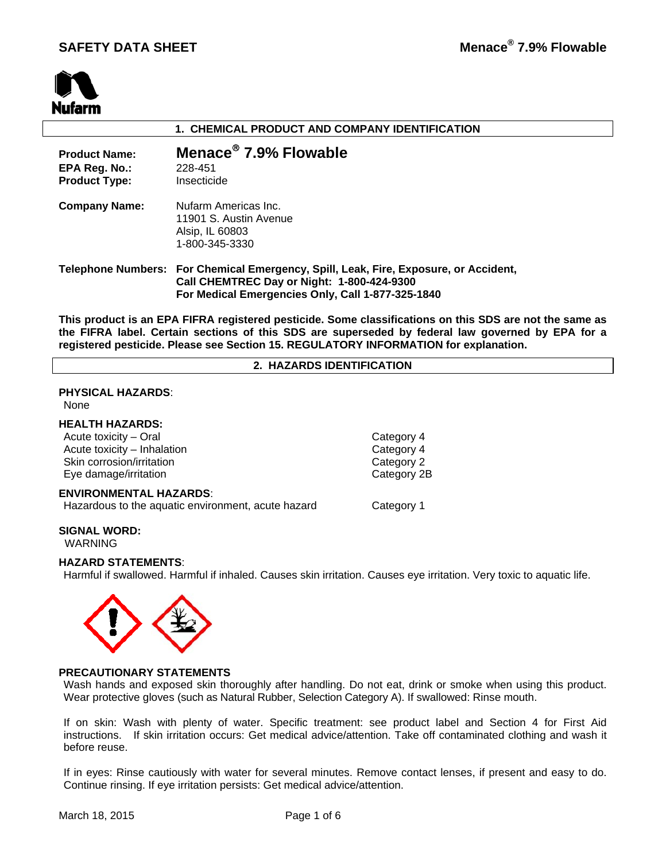

## **1. CHEMICAL PRODUCT AND COMPANY IDENTIFICATION**

| <b>Product Name:</b><br>EPA Reg. No.:<br><b>Product Type:</b> | Menace <sup>®</sup> 7.9% Flowable<br>228-451<br>Insecticide                                                                                                                             |
|---------------------------------------------------------------|-----------------------------------------------------------------------------------------------------------------------------------------------------------------------------------------|
| <b>Company Name:</b>                                          | Nufarm Americas Inc.<br>11901 S. Austin Avenue<br>Alsip, IL 60803<br>1-800-345-3330                                                                                                     |
|                                                               | Telephone Numbers: For Chemical Emergency, Spill, Leak, Fire, Exposure, or Accident,<br>Call CHEMTREC Day or Night: 1-800-424-9300<br>For Medical Emergencies Only, Call 1-877-325-1840 |

**This product is an EPA FIFRA registered pesticide. Some classifications on this SDS are not the same as the FIFRA label. Certain sections of this SDS are superseded by federal law governed by EPA for a registered pesticide. Please see Section 15. REGULATORY INFORMATION for explanation.**

## **2. HAZARDS IDENTIFICATION**

## **PHYSICAL HAZARDS**:

None

## **HEALTH HAZARDS:**

Acute toxicity – Oral Category 4 Acute toxicity – Inhalation Category 4 Skin corrosion/irritation Category 2 Eye damage/irritation example of the Category 2B

#### **ENVIRONMENTAL HAZARDS**:

Hazardous to the aquatic environment, acute hazard Category 1

# **SIGNAL WORD:**

WARNING

## **HAZARD STATEMENTS**:

Harmful if swallowed. Harmful if inhaled. Causes skin irritation. Causes eye irritation. Very toxic to aquatic life.



## **PRECAUTIONARY STATEMENTS**

Wash hands and exposed skin thoroughly after handling. Do not eat, drink or smoke when using this product. Wear protective gloves (such as Natural Rubber, Selection Category A). If swallowed: Rinse mouth.

If on skin: Wash with plenty of water. Specific treatment: see product label and Section 4 for First Aid instructions. If skin irritation occurs: Get medical advice/attention. Take off contaminated clothing and wash it before reuse.

If in eyes: Rinse cautiously with water for several minutes. Remove contact lenses, if present and easy to do. Continue rinsing. If eye irritation persists: Get medical advice/attention.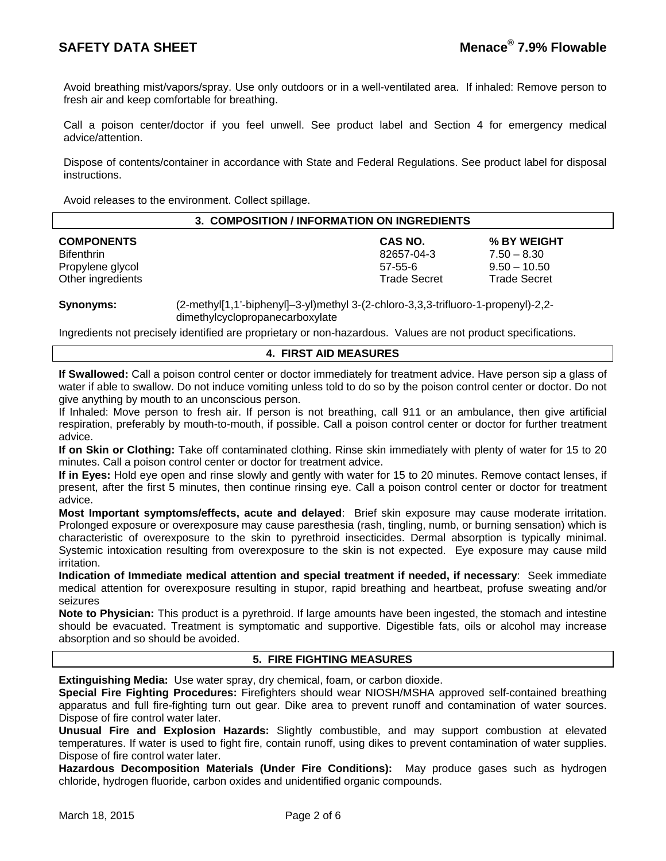Avoid breathing mist/vapors/spray. Use only outdoors or in a well-ventilated area. If inhaled: Remove person to fresh air and keep comfortable for breathing.

Call a poison center/doctor if you feel unwell. See product label and Section 4 for emergency medical advice/attention.

Dispose of contents/container in accordance with State and Federal Regulations. See product label for disposal instructions.

Avoid releases to the environment. Collect spillage.

| 3. COMPOSITION / INFORMATION ON INGREDIENTS |                                            |  |  |  |  |
|---------------------------------------------|--------------------------------------------|--|--|--|--|
| <b>COMPONENTS</b>                           | CAS NO.<br>% BY WEIGHT                     |  |  |  |  |
| <b>Bifenthrin</b>                           | 82657-04-3<br>$7.50 - 8.30$                |  |  |  |  |
| Propylene glycol                            | $9.50 - 10.50$<br>$57 - 55 - 6$            |  |  |  |  |
| Other ingredients                           | <b>Trade Secret</b><br><b>Trade Secret</b> |  |  |  |  |

**Synonyms:** (2-methyl[1,1'-biphenyl]–3-yl)methyl 3-(2-chloro-3,3,3-trifluoro-1-propenyl)-2,2 dimethylcyclopropanecarboxylate

Ingredients not precisely identified are proprietary or non-hazardous. Values are not product specifications.

## **4. FIRST AID MEASURES**

**If Swallowed:** Call a poison control center or doctor immediately for treatment advice. Have person sip a glass of water if able to swallow. Do not induce vomiting unless told to do so by the poison control center or doctor. Do not give anything by mouth to an unconscious person.

If Inhaled: Move person to fresh air. If person is not breathing, call 911 or an ambulance, then give artificial respiration, preferably by mouth-to-mouth, if possible. Call a poison control center or doctor for further treatment advice.

**If on Skin or Clothing:** Take off contaminated clothing. Rinse skin immediately with plenty of water for 15 to 20 minutes. Call a poison control center or doctor for treatment advice.

**If in Eyes:** Hold eye open and rinse slowly and gently with water for 15 to 20 minutes. Remove contact lenses, if present, after the first 5 minutes, then continue rinsing eye. Call a poison control center or doctor for treatment advice.

**Most Important symptoms/effects, acute and delayed**: Brief skin exposure may cause moderate irritation. Prolonged exposure or overexposure may cause paresthesia (rash, tingling, numb, or burning sensation) which is characteristic of overexposure to the skin to pyrethroid insecticides. Dermal absorption is typically minimal. Systemic intoxication resulting from overexposure to the skin is not expected. Eye exposure may cause mild irritation.

**Indication of Immediate medical attention and special treatment if needed, if necessary**: Seek immediate medical attention for overexposure resulting in stupor, rapid breathing and heartbeat, profuse sweating and/or seizures

**Note to Physician:** This product is a pyrethroid. If large amounts have been ingested, the stomach and intestine should be evacuated. Treatment is symptomatic and supportive. Digestible fats, oils or alcohol may increase absorption and so should be avoided.

## **5. FIRE FIGHTING MEASURES**

**Extinguishing Media:** Use water spray, dry chemical, foam, or carbon dioxide.

**Special Fire Fighting Procedures:** Firefighters should wear NIOSH/MSHA approved self-contained breathing apparatus and full fire-fighting turn out gear. Dike area to prevent runoff and contamination of water sources. Dispose of fire control water later.

**Unusual Fire and Explosion Hazards:** Slightly combustible, and may support combustion at elevated temperatures. If water is used to fight fire, contain runoff, using dikes to prevent contamination of water supplies. Dispose of fire control water later.

**Hazardous Decomposition Materials (Under Fire Conditions):** May produce gases such as hydrogen chloride, hydrogen fluoride, carbon oxides and unidentified organic compounds.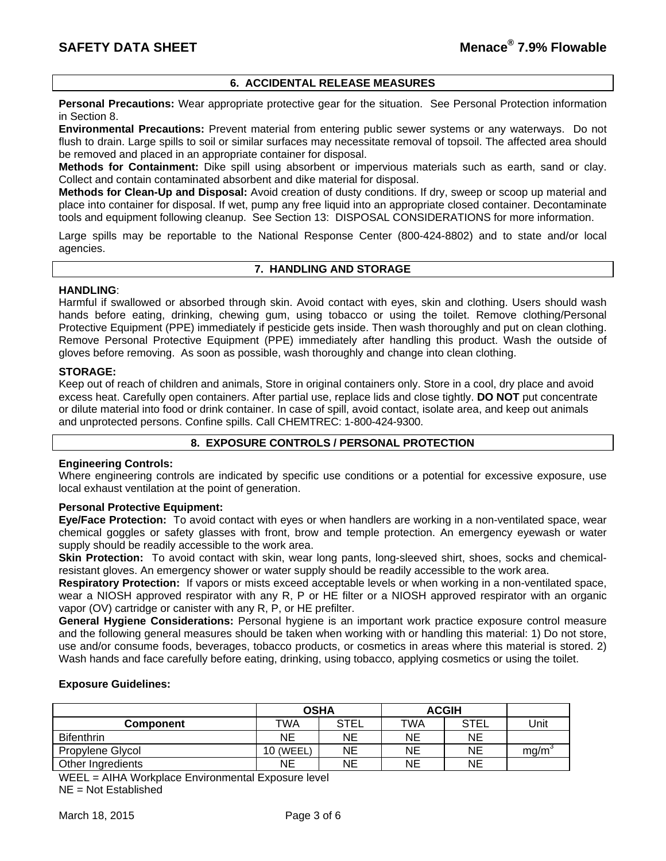## **6. ACCIDENTAL RELEASE MEASURES**

**Personal Precautions:** Wear appropriate protective gear for the situation. See Personal Protection information in Section 8.

**Environmental Precautions:** Prevent material from entering public sewer systems or any waterways. Do not flush to drain. Large spills to soil or similar surfaces may necessitate removal of topsoil. The affected area should be removed and placed in an appropriate container for disposal.

**Methods for Containment:** Dike spill using absorbent or impervious materials such as earth, sand or clay. Collect and contain contaminated absorbent and dike material for disposal.

**Methods for Clean-Up and Disposal:** Avoid creation of dusty conditions. If dry, sweep or scoop up material and place into container for disposal. If wet, pump any free liquid into an appropriate closed container. Decontaminate tools and equipment following cleanup. See Section 13: DISPOSAL CONSIDERATIONS for more information.

Large spills may be reportable to the National Response Center (800-424-8802) and to state and/or local agencies.

#### **7. HANDLING AND STORAGE**

## **HANDLING**:

Harmful if swallowed or absorbed through skin. Avoid contact with eyes, skin and clothing. Users should wash hands before eating, drinking, chewing gum, using tobacco or using the toilet. Remove clothing/Personal Protective Equipment (PPE) immediately if pesticide gets inside. Then wash thoroughly and put on clean clothing. Remove Personal Protective Equipment (PPE) immediately after handling this product. Wash the outside of gloves before removing. As soon as possible, wash thoroughly and change into clean clothing.

#### **STORAGE:**

Keep out of reach of children and animals, Store in original containers only. Store in a cool, dry place and avoid excess heat. Carefully open containers. After partial use, replace lids and close tightly. **DO NOT** put concentrate or dilute material into food or drink container. In case of spill, avoid contact, isolate area, and keep out animals and unprotected persons. Confine spills. Call CHEMTREC: 1-800-424-9300.

## **8. EXPOSURE CONTROLS / PERSONAL PROTECTION**

#### **Engineering Controls:**

Where engineering controls are indicated by specific use conditions or a potential for excessive exposure, use local exhaust ventilation at the point of generation.

## **Personal Protective Equipment:**

**Eye/Face Protection:** To avoid contact with eyes or when handlers are working in a non-ventilated space, wear chemical goggles or safety glasses with front, brow and temple protection. An emergency eyewash or water supply should be readily accessible to the work area.

**Skin Protection:** To avoid contact with skin, wear long pants, long-sleeved shirt, shoes, socks and chemicalresistant gloves. An emergency shower or water supply should be readily accessible to the work area.

**Respiratory Protection:** If vapors or mists exceed acceptable levels or when working in a non-ventilated space, wear a NIOSH approved respirator with any R, P or HE filter or a NIOSH approved respirator with an organic vapor (OV) cartridge or canister with any R, P, or HE prefilter.

**General Hygiene Considerations:** Personal hygiene is an important work practice exposure control measure and the following general measures should be taken when working with or handling this material: 1) Do not store, use and/or consume foods, beverages, tobacco products, or cosmetics in areas where this material is stored. 2) Wash hands and face carefully before eating, drinking, using tobacco, applying cosmetics or using the toilet.

## **Exposure Guidelines:**

|                   | <b>OSHA</b> |      | <b>ACGIH</b> |             |      |
|-------------------|-------------|------|--------------|-------------|------|
| Component         | TWA         | STEL | TWA          | <b>STEL</b> | Unit |
| <b>Bifenthrin</b> | <b>NE</b>   | NE   | ΝE           | <b>NE</b>   |      |
| Propylene Glycol  | 10 (WEEL)   | NE   | ΝE           | NE          | ma/m |
| Other Ingredients | ΝE          | NE   | ΝE           | NE          |      |

WEEL = AIHA Workplace Environmental Exposure level NE = Not Established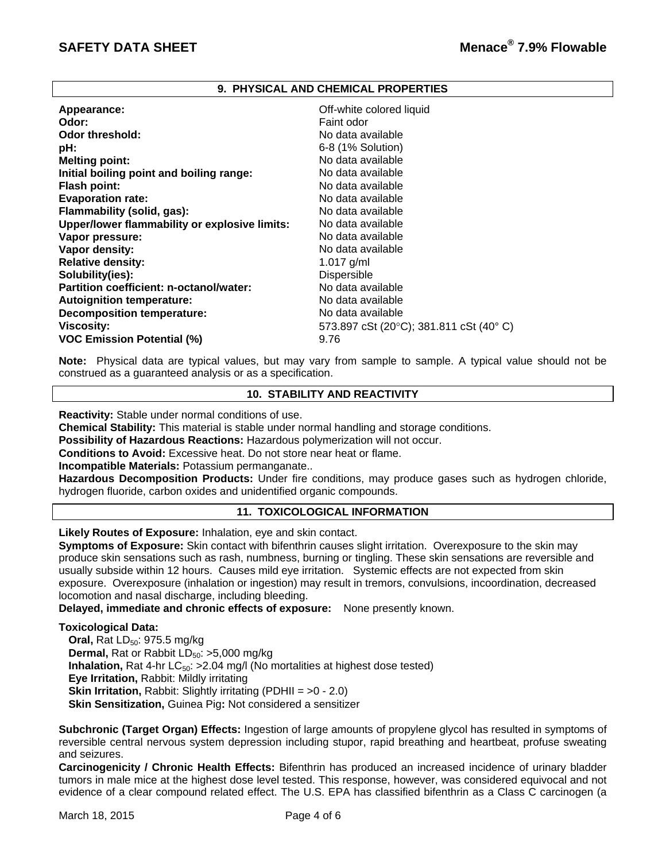## **9. PHYSICAL AND CHEMICAL PROPERTIES**

| Appearance:                                   | Off-white colored liquid               |
|-----------------------------------------------|----------------------------------------|
| Odor:                                         | Faint odor                             |
| Odor threshold:                               | No data available                      |
| pH:                                           | 6-8 (1% Solution)                      |
| <b>Melting point:</b>                         | No data available                      |
| Initial boiling point and boiling range:      | No data available                      |
| <b>Flash point:</b>                           | No data available                      |
| <b>Evaporation rate:</b>                      | No data available                      |
| Flammability (solid, gas):                    | No data available                      |
| Upper/lower flammability or explosive limits: | No data available                      |
| Vapor pressure:                               | No data available                      |
| Vapor density:                                | No data available                      |
| <b>Relative density:</b>                      | 1.017 $g/ml$                           |
| Solubility(ies):                              | Dispersible                            |
| Partition coefficient: n-octanol/water:       | No data available                      |
| <b>Autoignition temperature:</b>              | No data available                      |
| <b>Decomposition temperature:</b>             | No data available                      |
| <b>Viscosity:</b>                             | 573.897 cSt (20°C); 381.811 cSt (40°C) |
| <b>VOC Emission Potential (%)</b>             | 9.76                                   |

**Note:** Physical data are typical values, but may vary from sample to sample. A typical value should not be construed as a guaranteed analysis or as a specification.

## **10. STABILITY AND REACTIVITY**

**Reactivity:** Stable under normal conditions of use.

**Chemical Stability:** This material is stable under normal handling and storage conditions.

**Possibility of Hazardous Reactions:** Hazardous polymerization will not occur.

**Conditions to Avoid:** Excessive heat. Do not store near heat or flame.

**Incompatible Materials:** Potassium permanganate..

**Hazardous Decomposition Products:** Under fire conditions, may produce gases such as hydrogen chloride, hydrogen fluoride, carbon oxides and unidentified organic compounds.

## **11. TOXICOLOGICAL INFORMATION**

**Likely Routes of Exposure:** Inhalation, eye and skin contact.

**Symptoms of Exposure:** Skin contact with bifenthrin causes slight irritation. Overexposure to the skin may produce skin sensations such as rash, numbness, burning or tingling. These skin sensations are reversible and usually subside within 12 hours. Causes mild eye irritation. Systemic effects are not expected from skin exposure. Overexposure (inhalation or ingestion) may result in tremors, convulsions, incoordination, decreased locomotion and nasal discharge, including bleeding.

**Delayed, immediate and chronic effects of exposure:** None presently known.

## **Toxicological Data:**

**Oral, Rat LD<sub>50</sub>: 975.5 mg/kg Dermal, Rat or Rabbit LD<sub>50</sub>: >5,000 mg/kg Inhalation,** Rat 4-hr  $LC_{50}$ :  $>2.04$  mg/l (No mortalities at highest dose tested) **Eye Irritation,** Rabbit: Mildly irritating **Skin Irritation, Rabbit: Slightly irritating (PDHII = >0 - 2.0) Skin Sensitization,** Guinea Pig**:** Not considered a sensitizer

**Subchronic (Target Organ) Effects:** Ingestion of large amounts of propylene glycol has resulted in symptoms of reversible central nervous system depression including stupor, rapid breathing and heartbeat, profuse sweating and seizures.

**Carcinogenicity / Chronic Health Effects:** Bifenthrin has produced an increased incidence of urinary bladder tumors in male mice at the highest dose level tested. This response, however, was considered equivocal and not evidence of a clear compound related effect. The U.S. EPA has classified bifenthrin as a Class C carcinogen (a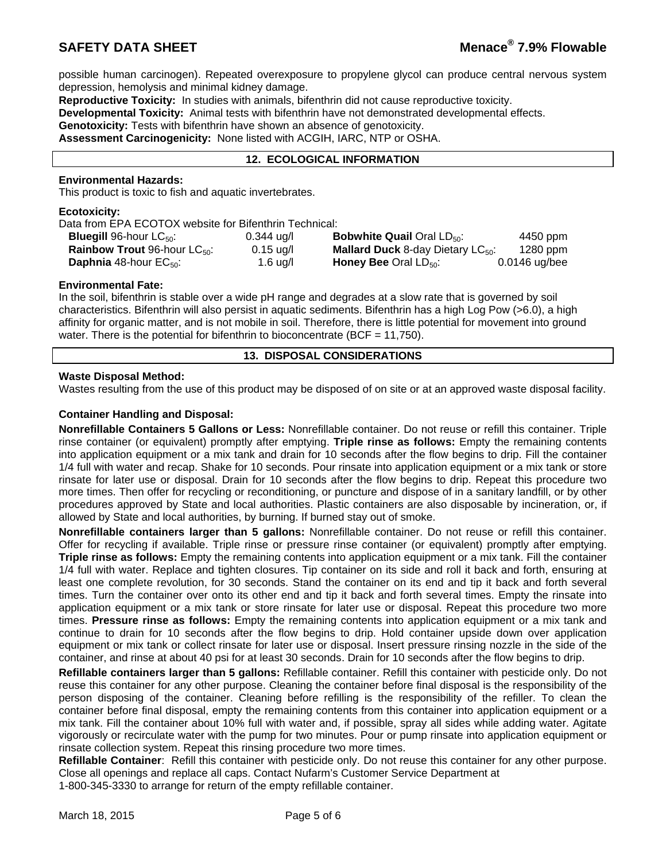possible human carcinogen). Repeated overexposure to propylene glycol can produce central nervous system depression, hemolysis and minimal kidney damage.

**Reproductive Toxicity:** In studies with animals, bifenthrin did not cause reproductive toxicity.

**Developmental Toxicity:** Animal tests with bifenthrin have not demonstrated developmental effects.

**Genotoxicity:** Tests with bifenthrin have shown an absence of genotoxicity.

**Assessment Carcinogenicity:** None listed with ACGIH, IARC, NTP or OSHA.

## **12. ECOLOGICAL INFORMATION**

## **Environmental Hazards:**

This product is toxic to fish and aquatic invertebrates.

#### **Ecotoxicity:**

Data from EPA ECOTOX website for Bifenthrin Technical:

| <b>Bluegill</b> 96-hour $LC_{50}$ :             | $0.344$ ug/l | <b>Bobwhite Quail Oral LD<sub>50</sub></b> :  | 4450 ppm      |
|-------------------------------------------------|--------------|-----------------------------------------------|---------------|
| <b>Rainbow Trout 96-hour LC</b> <sub>50</sub> : | $0.15$ ug/l  | <b>Mallard Duck</b> 8-day Dietary $LC_{50}$ : | 1280 ppm      |
| <b>Daphnia</b> 48-hour $EC_{50}$ :              | 1.6 ug/l     | <b>Honey Bee Oral LD</b> <sub>50</sub> :      | 0.0146 ug/bee |

#### **Environmental Fate:**

In the soil, bifenthrin is stable over a wide pH range and degrades at a slow rate that is governed by soil characteristics. Bifenthrin will also persist in aquatic sediments. Bifenthrin has a high Log Pow (>6.0), a high affinity for organic matter, and is not mobile in soil. Therefore, there is little potential for movement into ground water. There is the potential for bifenthrin to bioconcentrate (BCF = 11,750).

## **13. DISPOSAL CONSIDERATIONS**

## **Waste Disposal Method:**

Wastes resulting from the use of this product may be disposed of on site or at an approved waste disposal facility.

## **Container Handling and Disposal:**

**Nonrefillable Containers 5 Gallons or Less:** Nonrefillable container. Do not reuse or refill this container. Triple rinse container (or equivalent) promptly after emptying. **Triple rinse as follows:** Empty the remaining contents into application equipment or a mix tank and drain for 10 seconds after the flow begins to drip. Fill the container 1/4 full with water and recap. Shake for 10 seconds. Pour rinsate into application equipment or a mix tank or store rinsate for later use or disposal. Drain for 10 seconds after the flow begins to drip. Repeat this procedure two more times. Then offer for recycling or reconditioning, or puncture and dispose of in a sanitary landfill, or by other procedures approved by State and local authorities. Plastic containers are also disposable by incineration, or, if allowed by State and local authorities, by burning. If burned stay out of smoke.

**Nonrefillable containers larger than 5 gallons:** Nonrefillable container. Do not reuse or refill this container. Offer for recycling if available. Triple rinse or pressure rinse container (or equivalent) promptly after emptying. **Triple rinse as follows:** Empty the remaining contents into application equipment or a mix tank. Fill the container 1/4 full with water. Replace and tighten closures. Tip container on its side and roll it back and forth, ensuring at least one complete revolution, for 30 seconds. Stand the container on its end and tip it back and forth several times. Turn the container over onto its other end and tip it back and forth several times. Empty the rinsate into application equipment or a mix tank or store rinsate for later use or disposal. Repeat this procedure two more times. **Pressure rinse as follows:** Empty the remaining contents into application equipment or a mix tank and continue to drain for 10 seconds after the flow begins to drip. Hold container upside down over application equipment or mix tank or collect rinsate for later use or disposal. Insert pressure rinsing nozzle in the side of the container, and rinse at about 40 psi for at least 30 seconds. Drain for 10 seconds after the flow begins to drip.

**Refillable containers larger than 5 gallons:** Refillable container. Refill this container with pesticide only. Do not reuse this container for any other purpose. Cleaning the container before final disposal is the responsibility of the person disposing of the container. Cleaning before refilling is the responsibility of the refiller. To clean the container before final disposal, empty the remaining contents from this container into application equipment or a mix tank. Fill the container about 10% full with water and, if possible, spray all sides while adding water. Agitate vigorously or recirculate water with the pump for two minutes. Pour or pump rinsate into application equipment or rinsate collection system. Repeat this rinsing procedure two more times.

**Refillable Container**: Refill this container with pesticide only. Do not reuse this container for any other purpose. Close all openings and replace all caps. Contact Nufarm's Customer Service Department at 1-800-345-3330 to arrange for return of the empty refillable container.